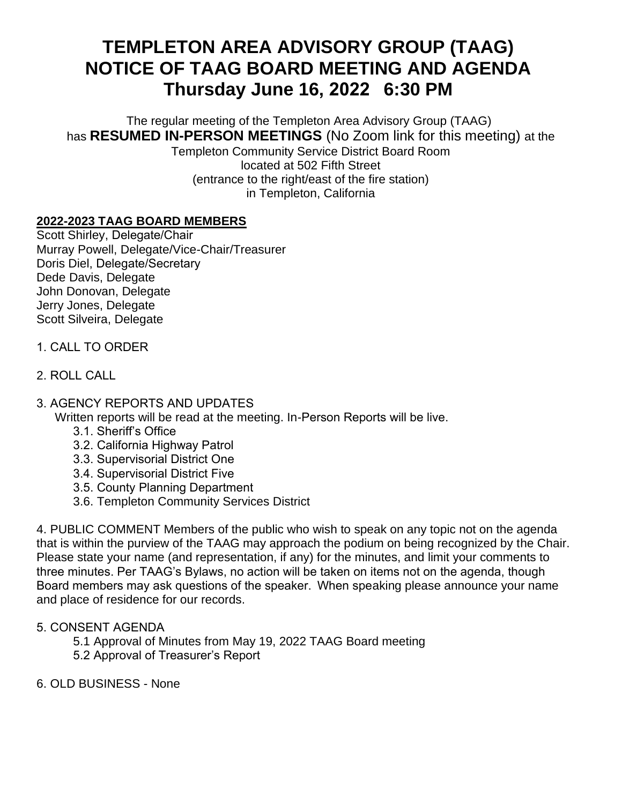# **TEMPLETON AREA ADVISORY GROUP (TAAG) NOTICE OF TAAG BOARD MEETING AND AGENDA Thursday June 16, 2022   6:30 PM**

The regular meeting of the Templeton Area Advisory Group (TAAG) has **RESUMED IN-PERSON MEETINGS** (No Zoom link for this meeting) at the

Templeton Community Service District Board Room located at 502 Fifth Street (entrance to the right/east of the fire station) in Templeton, California

### **2022-2023 TAAG BOARD MEMBERS**

Scott Shirley, Delegate/Chair  Murray Powell, Delegate/Vice-Chair/Treasurer Doris Diel, Delegate/Secretary   Dede Davis, Delegate John Donovan, Delegate Jerry Jones, Delegate Scott Silveira, Delegate

- 1. CALL TO ORDER
- 2. ROLL CALL
- 3. AGENCY REPORTS AND UPDATES

Written reports will be read at the meeting. In-Person Reports will be live. 

- 3.1. Sheriff's Office
- 3.2. California Highway Patrol
- 3.3. Supervisorial District One
- 3.4. Supervisorial District Five
- 3.5. County Planning Department
- 3.6. Templeton Community Services District

4. PUBLIC COMMENT Members of the public who wish to speak on any topic not on the agenda that is within the purview of the TAAG may approach the podium on being recognized by the Chair. Please state your name (and representation, if any) for the minutes, and limit your comments to three minutes. Per TAAG's Bylaws, no action will be taken on items not on the agenda, though Board members may ask questions of the speaker.  When speaking please announce your name and place of residence for our records.

#### 5. CONSENT AGENDA

- 5.1 Approval of Minutes from May 19, 2022 TAAG Board meeting
- 5.2 Approval of Treasurer's Report
- 6. OLD BUSINESS None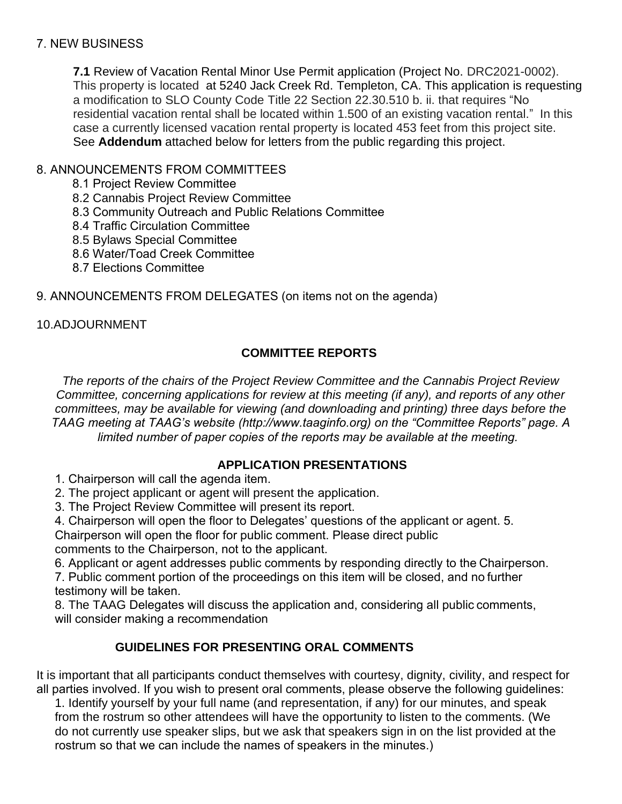### 7. NEW BUSINESS

**7.1** Review of Vacation Rental Minor Use Permit application (Project No. DRC2021-0002). This property is located at 5240 Jack Creek Rd. Templeton, CA. This application is requesting a modification to SLO County Code Title 22 Section 22.30.510 b. ii. that requires "No residential vacation rental shall be located within 1.500 of an existing vacation rental." In this case a currently licensed vacation rental property is located 453 feet from this project site. See **Addendum** attached below for letters from the public regarding this project.

## 8. ANNOUNCEMENTS FROM COMMITTEES

8.1 Project Review Committee 

8.2 Cannabis Project Review Committee

- 8.3 Community Outreach and Public Relations Committee
- 8.4 Traffic Circulation Committee
- 8.5 Bylaws Special Committee
- 8.6 Water/Toad Creek Committee
- 8.7 Elections Committee

9. ANNOUNCEMENTS FROM DELEGATES (on items not on the agenda) 

# 10.ADJOURNMENT

# **COMMITTEE REPORTS**

*The reports of the chairs of the Project Review Committee and the Cannabis Project Review Committee, concerning applications for review at this meeting (if any), and reports of any other committees, may be available for viewing (and downloading and printing) three days before the TAAG meeting at TAAG's website (http://www.taaginfo.org) on the "Committee Reports" page. A limited number of paper copies of the reports may be available at the meeting.*

# **APPLICATION PRESENTATIONS**

1. Chairperson will call the agenda item. 

2. The project applicant or agent will present the application. 

3. The Project Review Committee will present its report. 

4. Chairperson will open the floor to Delegates' questions of the applicant or agent. 5.

Chairperson will open the floor for public comment. Please direct public 

comments to the Chairperson, not to the applicant. 

6. Applicant or agent addresses public comments by responding directly to the Chairperson. 

7. Public comment portion of the proceedings on this item will be closed, and no further testimony will be taken. 

8. The TAAG Delegates will discuss the application and, considering all public comments, will consider making a recommendation 

# **GUIDELINES FOR PRESENTING ORAL COMMENTS**

It is important that all participants conduct themselves with courtesy, dignity, civility, and respect for all parties involved. If you wish to present oral comments, please observe the following guidelines: 

1. Identify yourself by your full name (and representation, if any) for our minutes, and speak from the rostrum so other attendees will have the opportunity to listen to the comments. (We do not currently use speaker slips, but we ask that speakers sign in on the list provided at the rostrum so that we can include the names of speakers in the minutes.)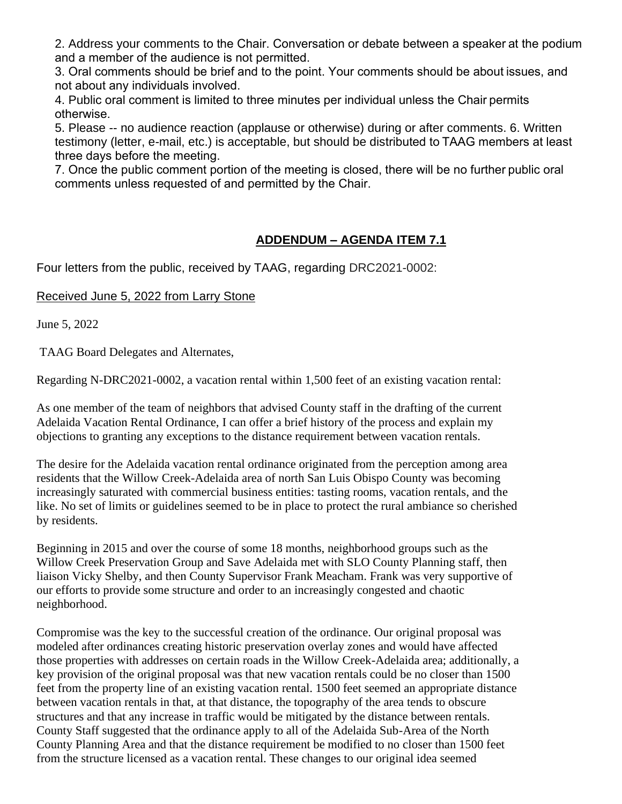2. Address your comments to the Chair. Conversation or debate between a speaker at the podium and a member of the audience is not permitted. 

3. Oral comments should be brief and to the point. Your comments should be about issues, and not about any individuals involved. 

4. Public oral comment is limited to three minutes per individual unless the Chair permits otherwise. 

5. Please -- no audience reaction (applause or otherwise) during or after comments. 6. Written testimony (letter, e-mail, etc.) is acceptable, but should be distributed to TAAG members at least three days before the meeting. 

7. Once the public comment portion of the meeting is closed, there will be no further public oral comments unless requested of and permitted by the Chair. 

### **ADDENDUM – AGENDA ITEM 7.1**

Four letters from the public, received by TAAG, regarding DRC2021-0002:

#### Received June 5, 2022 from Larry Stone

June 5, 2022

TAAG Board Delegates and Alternates,

Regarding N-DRC2021-0002, a vacation rental within 1,500 feet of an existing vacation rental:

As one member of the team of neighbors that advised County staff in the drafting of the current Adelaida Vacation Rental Ordinance, I can offer a brief history of the process and explain my objections to granting any exceptions to the distance requirement between vacation rentals.

The desire for the Adelaida vacation rental ordinance originated from the perception among area residents that the Willow Creek-Adelaida area of north San Luis Obispo County was becoming increasingly saturated with commercial business entities: tasting rooms, vacation rentals, and the like. No set of limits or guidelines seemed to be in place to protect the rural ambiance so cherished by residents.

Beginning in 2015 and over the course of some 18 months, neighborhood groups such as the Willow Creek Preservation Group and Save Adelaida met with SLO County Planning staff, then liaison Vicky Shelby, and then County Supervisor Frank Meacham. Frank was very supportive of our efforts to provide some structure and order to an increasingly congested and chaotic neighborhood.

Compromise was the key to the successful creation of the ordinance. Our original proposal was modeled after ordinances creating historic preservation overlay zones and would have affected those properties with addresses on certain roads in the Willow Creek-Adelaida area; additionally, a key provision of the original proposal was that new vacation rentals could be no closer than 1500 feet from the property line of an existing vacation rental. 1500 feet seemed an appropriate distance between vacation rentals in that, at that distance, the topography of the area tends to obscure structures and that any increase in traffic would be mitigated by the distance between rentals. County Staff suggested that the ordinance apply to all of the Adelaida Sub-Area of the North County Planning Area and that the distance requirement be modified to no closer than 1500 feet from the structure licensed as a vacation rental. These changes to our original idea seemed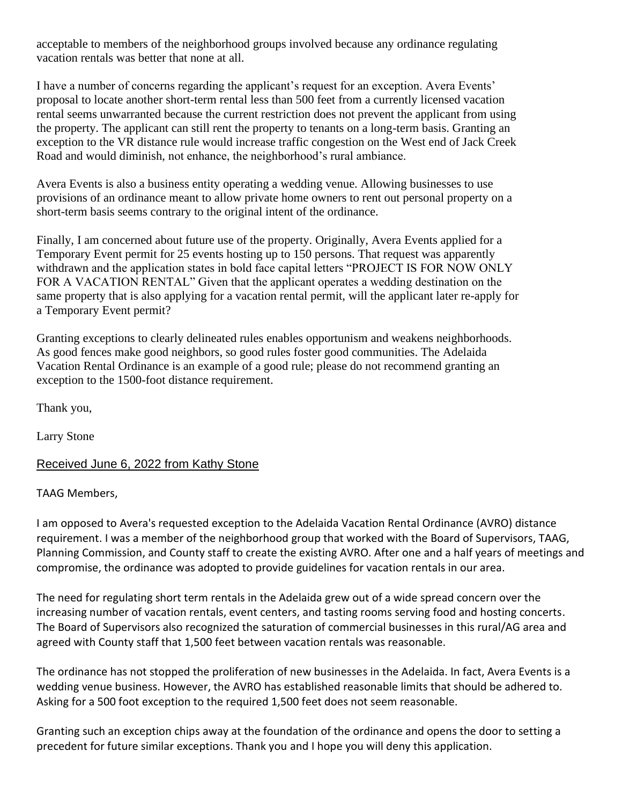acceptable to members of the neighborhood groups involved because any ordinance regulating vacation rentals was better that none at all.

I have a number of concerns regarding the applicant's request for an exception. Avera Events' proposal to locate another short-term rental less than 500 feet from a currently licensed vacation rental seems unwarranted because the current restriction does not prevent the applicant from using the property. The applicant can still rent the property to tenants on a long-term basis. Granting an exception to the VR distance rule would increase traffic congestion on the West end of Jack Creek Road and would diminish, not enhance, the neighborhood's rural ambiance.

Avera Events is also a business entity operating a wedding venue. Allowing businesses to use provisions of an ordinance meant to allow private home owners to rent out personal property on a short-term basis seems contrary to the original intent of the ordinance.

Finally, I am concerned about future use of the property. Originally, Avera Events applied for a Temporary Event permit for 25 events hosting up to 150 persons. That request was apparently withdrawn and the application states in bold face capital letters "PROJECT IS FOR NOW ONLY FOR A VACATION RENTAL" Given that the applicant operates a wedding destination on the same property that is also applying for a vacation rental permit, will the applicant later re-apply for a Temporary Event permit?

Granting exceptions to clearly delineated rules enables opportunism and weakens neighborhoods. As good fences make good neighbors, so good rules foster good communities. The Adelaida Vacation Rental Ordinance is an example of a good rule; please do not recommend granting an exception to the 1500-foot distance requirement.

Thank you,

Larry Stone

#### Received June 6, 2022 from Kathy Stone

TAAG Members,

I am opposed to Avera's requested exception to the Adelaida Vacation Rental Ordinance (AVRO) distance requirement. I was a member of the neighborhood group that worked with the Board of Supervisors, TAAG, Planning Commission, and County staff to create the existing AVRO. After one and a half years of meetings and compromise, the ordinance was adopted to provide guidelines for vacation rentals in our area.

The need for regulating short term rentals in the Adelaida grew out of a wide spread concern over the increasing number of vacation rentals, event centers, and tasting rooms serving food and hosting concerts. The Board of Supervisors also recognized the saturation of commercial businesses in this rural/AG area and agreed with County staff that 1,500 feet between vacation rentals was reasonable.

The ordinance has not stopped the proliferation of new businesses in the Adelaida. In fact, Avera Events is a wedding venue business. However, the AVRO has established reasonable limits that should be adhered to. Asking for a 500 foot exception to the required 1,500 feet does not seem reasonable.

Granting such an exception chips away at the foundation of the ordinance and opens the door to setting a precedent for future similar exceptions. Thank you and I hope you will deny this application.